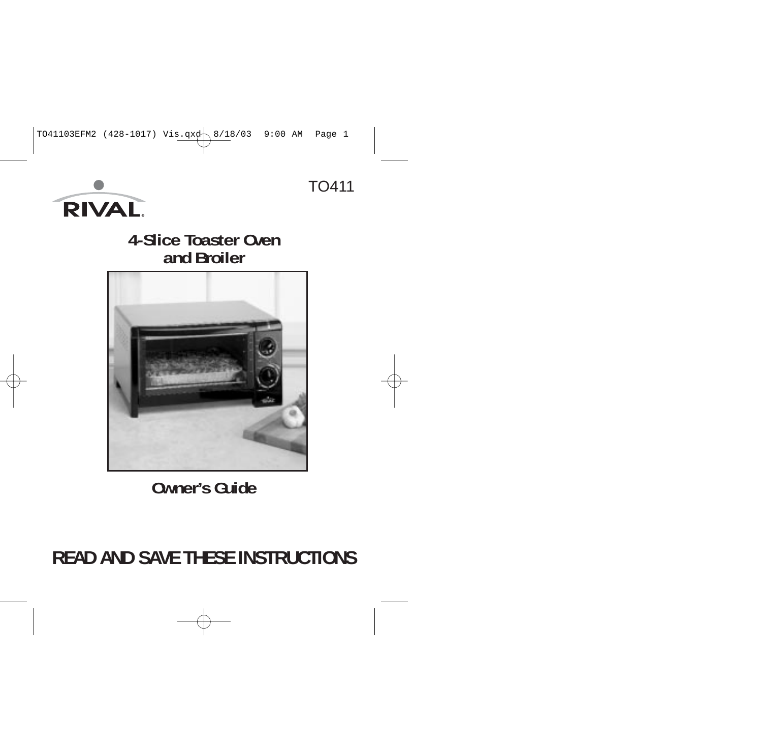



## **4-Slice Toaster Ovenand Broiler**



## **Owner's Guide**

# **READ AND SAVE THESE INSTRUCTIONS**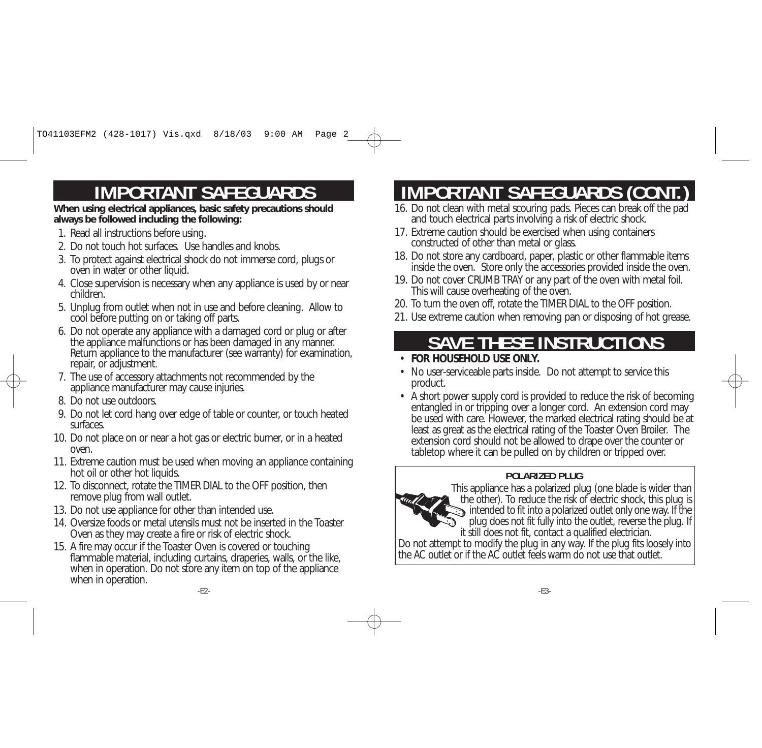# **IMPORTANT SAFEGUARDS**

**When using electrical appliances, basic safety precautions should always be followed including the following:**

- 1. Read all instructions before using.
- 2. Do not touch hot surfaces. Use handles and knobs.
- 3. To protect against electrical shock do not immerse cord, plugs or oven in water or other liquid.
- 4. Close supervision is necessary when any appliance is used by or near children.
- 5. Unplug from outlet when not in use and before cleaning. Allow to cool before putting on or taking off parts.
- 6. Do not operate any appliance with a damaged cord or plug or after the appliance malfunctions or has been damaged in any manner. Return appliance to the manufacturer (see warranty) for examination, repair, or adjustment.
- 7. The use of accessory attachments not recommended by the appliance manufacturer may cause injuries.
- 8. Do not use outdoors.
- 9. Do not let cord hang over edge of table or counter, or touch heated surfaces.
- 10. Do not place on or near a hot gas or electric burner, or in a heated oven.
- 11. Extreme caution must be used when moving an appliance containing hot oil or other hot liquids.
- 12. To disconnect, rotate the TIMER DIAL to the OFF position, then remove plug from wall outlet.
- 13. Do not use appliance for other than intended use.
- 14. Oversize foods or metal utensils must not be inserted in the ToasterOven as they may create a fire or risk of electric shock.
- 15. A fire may occur if the Toaster Oven is covered or touching flammable material, including curtains, draperies, walls, or the like, when in operation. Do not store any item on top of the appliance when in operation.

# **IMPORTANT SAFEGUARDS (CONT.)**

- 16. Do not clean with metal scouring pads. Pieces can break off the pad and touch electrical parts involving a risk of electric shock.
- 17. Extreme caution should be exercised when using containers constructed of other than metal or glass.
- 18. Do not store any cardboard, paper, plastic or other flammable items inside the oven. Store only the accessories provided inside the oven.
- 19. Do not cover CRUMB TRAY or any part of the oven with metal foil. This will cause overheating of the oven.
- 20. To turn the oven off, rotate the TIMER DIAL to the OFF position.
- 21. Use extreme caution when removing pan or disposing of hot grease.

# **SAVE THESE INSTRUCTIONS**

- **FOR HOUSEHOLD USE ONLY.**
- No user-serviceable parts inside. Do not attempt to service this product.
- A short power supply cord is provided to reduce the risk of becoming entangled in or tripping over a longer cord. An extension cord may be used with care. However, the marked electrical rating should be at least as great as the electrical rating of the Toaster Oven Broiler. The extension cord should not be allowed to drape over the counter or tabletop where it can be pulled on by children or tripped over.

## **POLARIZED PLUG**

This appliance has a polarized plug (one blade is wider than the other). To reduce the risk of electric shock, this plug is intended to fit into a polarized outlet only one way. If the plug does not fit fully into the outlet, reverse the plug. If it still does not fit, contact a qualified electrician. Do not attempt to modify the plug in any way. If the plug fits loosely into the AC outlet or if the AC outlet feels warm do not use that outlet.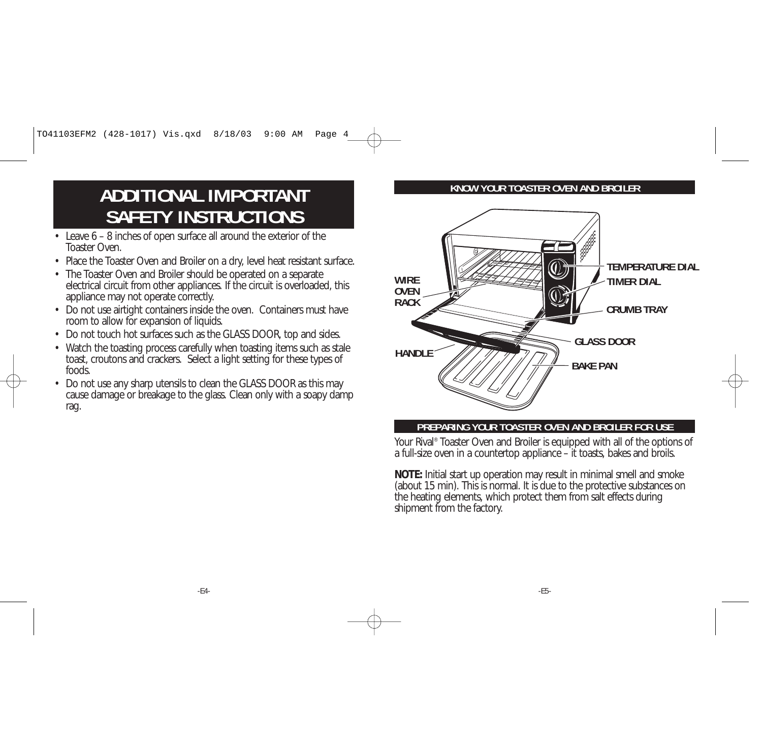# **ADDITIONAL IMPORTANTSAFETY INSTRUCTIONS**

- Leave 6 8 inches of open surface all around the exterior of the Toaster Oven.
- Place the Toaster Oven and Broiler on a dry, level heat resistant surface.
- The Toaster Oven and Broiler should be operated on a separate electrical circuit from other appliances. If the circuit is overloaded, this appliance may not operate correctly.
- Do not use airtight containers inside the oven. Containers must have room to allow for expansion of liquids.
- Do not touch hot surfaces such as the GLASS DOOR, top and sides.
- Watch the toasting process carefully when toasting items such as stale toast, croutons and crackers. Select a light setting for these types of foods.
- Do not use any sharp utensils to clean the GLASS DOOR as this may cause damage or breakage to the glass. Clean only with a soapy damp rag.

#### **KNOW YOUR TOASTER OVEN AND BROILER**



#### **PREPARING YOUR TOASTER OVEN AND BROILER FOR USE**

Your Rival® Toaster Oven and Broiler is equipped with all of the options of a full-size oven in a countertop appliance – it toasts, bakes and broils.

**NOTE:** Initial start up operation may result in minimal smell and smoke (about 15 min). This is normal. It is due to the protective substances on the heating elements, which protect them from salt effects during shipment from the factory.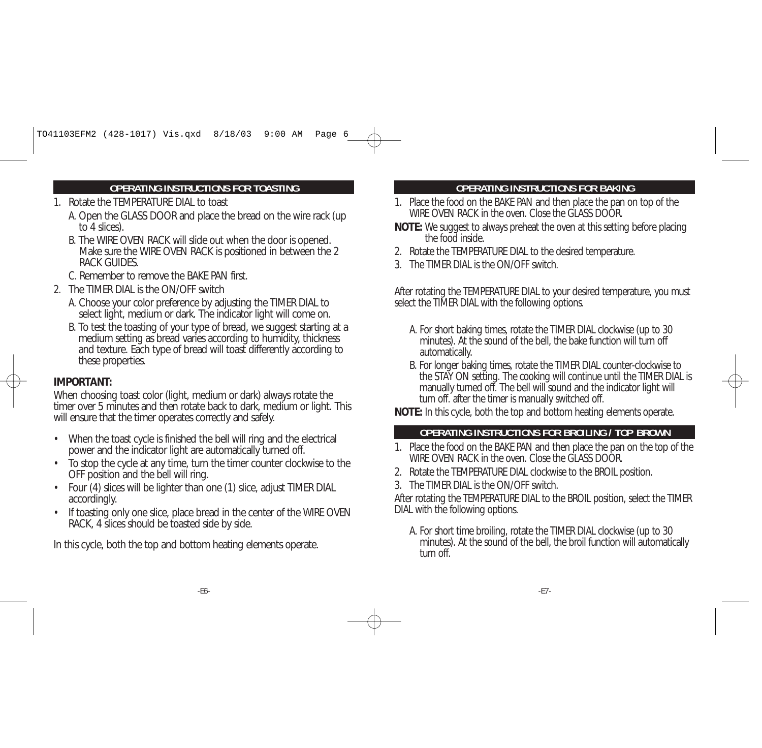#### **OPERATING INSTRUCTIONS FOR TOASTING**

- 1. Rotate the TEMPERATURE DIAL to toast
	- A. Open the GLASS DOOR and place the bread on the wire rack (up to 4 slices).
	- B. The WIRE OVEN RACK will slide out when the door is opened. Make sure the WIRE OVEN RACK is positioned in between the 2 RACK GUIDES.
	- C. Remember to remove the BAKE PAN first.
- 2. The TIMER DIAL is the ON/OFF switch
	- A. Choose your color preference by adjusting the TIMER DIAL to select light, medium or dark. The indicator light will come on.
	- B. To test the toasting of your type of bread, we suggest starting at a medium setting as bread varies according to humidity, thickness and texture. Each type of bread will toast differently according to these properties.

### **IMPORTANT:**

When choosing toast color (light, medium or dark) always rotate the timer over 5 minutes and then rotate back to dark, medium or light. This will ensure that the timer operates correctly and safely.

- • When the toast cycle is finished the bell will ring and the electrical power and the indicator light are automatically turned off.
- • To stop the cycle at any time, turn the timer counter clockwise to the OFF position and the bell will ring.
- • Four (4) slices will be lighter than one (1) slice, adjust TIMER DIAL accordingly.
- •If toasting only one slice, place bread in the center of the WIRE OVEN RACK, 4 slices should be toasted side by side.

In this cycle, both the top and bottom heating elements operate.

#### **OPERATING INSTRUCTIONS FOR BAKING**

- 1. Place the food on the BAKE PAN and then place the pan on top of the WIRE OVEN RACK in the oven. Close the GLASS DOOR.
- **NOTE:** We suggest to always preheat the oven at this setting before placing the food inside.
- 2. Rotate the TEMPERATURE DIAL to the desired temperature.
- 3. The TIMER DIAL is the ON/OFF switch.

After rotating the TEMPERATURE DIAL to your desired temperature, you must select the TIMER DIAL with the following options.

- A. For short baking times, rotate the TIMER DIAL clockwise (up to 30 minutes). At the sound of the bell, the bake function will turn off automatically.
- B. For longer baking times, rotate the TIMER DIAL counter-clockwise to the STAY ON setting. The cooking will continue until the TIMER DIAL is manually turned off. The bell will sound and the indicator light will turn off. after the timer is manually switched off.

**NOTE:** In this cycle, both the top and bottom heating elements operate.

#### **OPERATING INSTRUCTIONS FOR BROILING / TOP BROWN**

- 1. Place the food on the BAKE PAN and then place the pan on the top of the WIRE OVEN RACK in the oven. Close the GLASS DOOR.
- 2. Rotate the TEMPERATURE DIAL clockwise to the BROIL position.
- 3. The TIMER DIAL is the ON/OFF switch.

After rotating the TEMPERATURE DIAL to the BROIL position, select the TIMER DIAL with the following options.

A. For short time broiling, rotate the TIMER DIAL clockwise (up to 30 minutes). At the sound of the bell, the broil function will automatically turn off<sup>1</sup>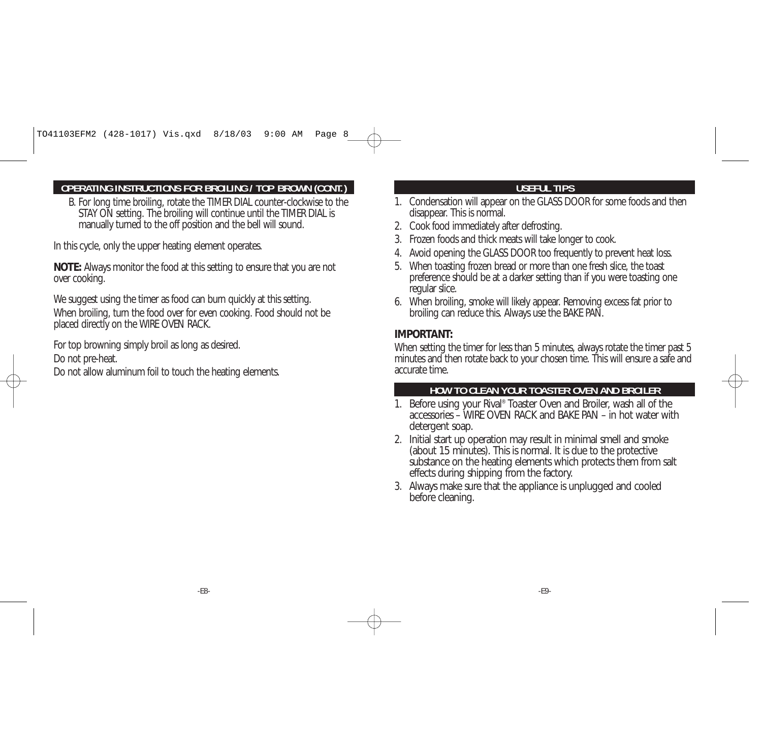#### **OPERATING INSTRUCTIONS FOR BROILING / TOP BROWN (CONT.)**

B. For long time broiling, rotate the TIMER DIAL counter-clockwise to the STAY ON setting. The broiling will continue until the TIMER DIAL is manually turned to the off position and the bell will sound.

In this cycle, only the upper heating element operates.

**NOTE:** Always monitor the food at this setting to ensure that you are not over cooking.

We suggest using the timer as food can burn quickly at this setting. When broiling, turn the food over for even cooking. Food should not be placed directly on the WIRE OVEN RACK.

For top browning simply broil as long as desired. Do not pre-heat.

Do not allow aluminum foil to touch the heating elements.

### **USEFUL TIPS**

- 1. Condensation will appear on the GLASS DOOR for some foods and then disappear. This is normal.
- 2. Cook food immediately after defrosting.
- 3. Frozen foods and thick meats will take longer to cook.
- 4. Avoid opening the GLASS DOOR too frequently to prevent heat loss.
- 5. When toasting frozen bread or more than one fresh slice, the toast preference should be at a darker setting than if you were toasting one regular slice.
- 6. When broiling, smoke will likely appear. Removing excess fat prior to broiling can reduce this. Always use the BAKE PAN.

#### **IMPORTANT:**

When setting the timer for less than 5 minutes, always rotate the timer past 5 minutes and then rotate back to your chosen time. This will ensure a safe and accurate time.

#### **HOW TO CLEAN YOUR TOASTER OVEN AND BROILER**

- 1. Before using your Rival® Toaster Oven and Broiler, wash all of the accessories – WIRE OVEN RACK and BAKE PAN – in hot water withdetergent soap.
- 2. Initial start up operation may result in minimal smell and smoke (about 15 minutes). This is normal. It is due to the protective substance on the heating elements which protects them from salt effects during shipping from the factory.
- 3. Always make sure that the appliance is unplugged and cooled before cleaning.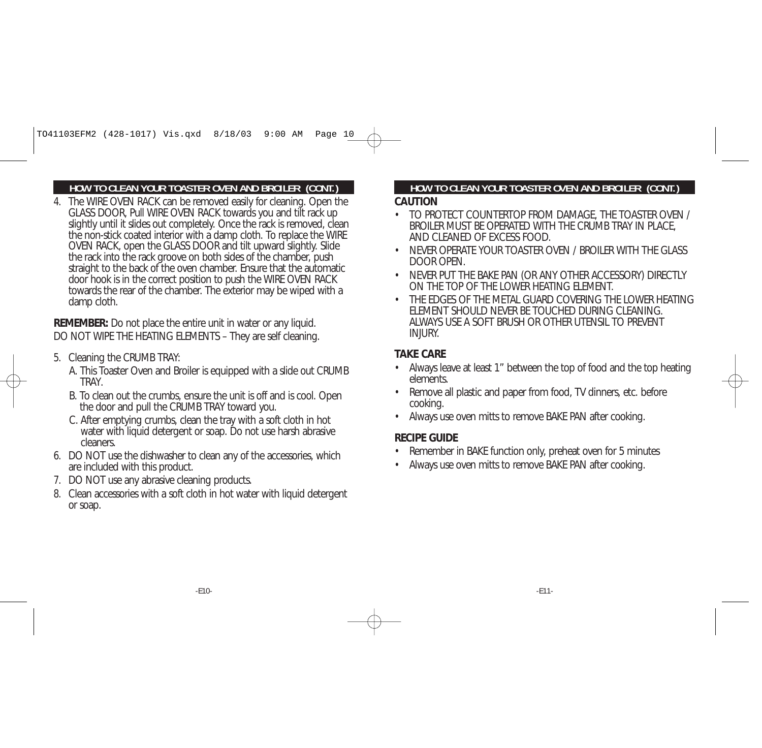#### **HOW TO CLEAN YOUR TOASTER OVEN AND BROILER (CONT.)**

4. The WIRE OVEN RACK can be removed easily for cleaning. Open the GLASS DOOR, Pull WIRE OVEN RACK towards you and tilt rack up slightly until it slides out completely. Once the rack is removed, clean the non-stick coated interior with a damp cloth. To replace the WIRE OVEN RACK, open the GLASS DOOR and tilt upward slightly. Slide the rack into the rack groove on both sides of the chamber, push straight to the back of the oven chamber. Ensure that the automatic door hook is in the correct position to push the WIRE OVEN RACK towards the rear of the chamber. The exterior may be wiped with a damp cloth.

**REMEMBER:** Do not place the entire unit in water or any liquid. DO NOT WIPE THE HEATING ELEMENTS – They are self cleaning.

- 5. Cleaning the CRUMB TRAY:
	- A. This Toaster Oven and Broiler is equipped with a slide out CRUMB **TRAY**
	- B. To clean out the crumbs, ensure the unit is off and is cool. Open the door and pull the CRUMB TRAY toward you.
	- C. After emptying crumbs, clean the tray with a soft cloth in hot water with liquid detergent or soap. Do not use harsh abrasive cleaners.
- 6. DO NOT use the dishwasher to clean any of the accessories, which are included with this product.
- 7. DO NOT use any abrasive cleaning products.
- 8. Clean accessories with a soft cloth in hot water with liquid detergent or soap.

### **HOW TO CLEAN YOUR TOASTER OVEN AND BROILER (CONT.)**

#### **CAUTION**

- TO PROTECT COUNTERTOP FROM DAMAGE, THE TOASTER OVEN / BROILER MUST BE OPERATED WITH THE CRUMB TRAY IN PLACE, AND CLEANED OF EXCESS FOOD.
- • NEVER OPERATE YOUR TOASTER OVEN / BROILER WITH THE GLASSDOOR OPEN.
- NEVER PUT THE BAKE PAN (OR ANY OTHER ACCESSORY) DIRECTLY ON THE TOP OF THE LOWER HEATING ELEMENT.
- THE EDGES OF THE METAL GUARD COVERING THE LOWER HEATING ELEMENT SHOULD NEVER BE TOUCHED DURING CLEANING. ALWAYS USE A SOFT BRUSH OR OTHER UTENSIL TO PREVENTINJURY.

#### **TAKE CARE**

- • Always leave at least 1" between the top of food and the top heating elements.
- • Remove all plastic and paper from food, TV dinners, etc. before cooking.
- •Always use oven mitts to remove BAKE PAN after cooking.

#### **RECIPE GUIDE**

- •Remember in BAKE function only, preheat oven for 5 minutes
- •Always use oven mitts to remove BAKE PAN after cooking.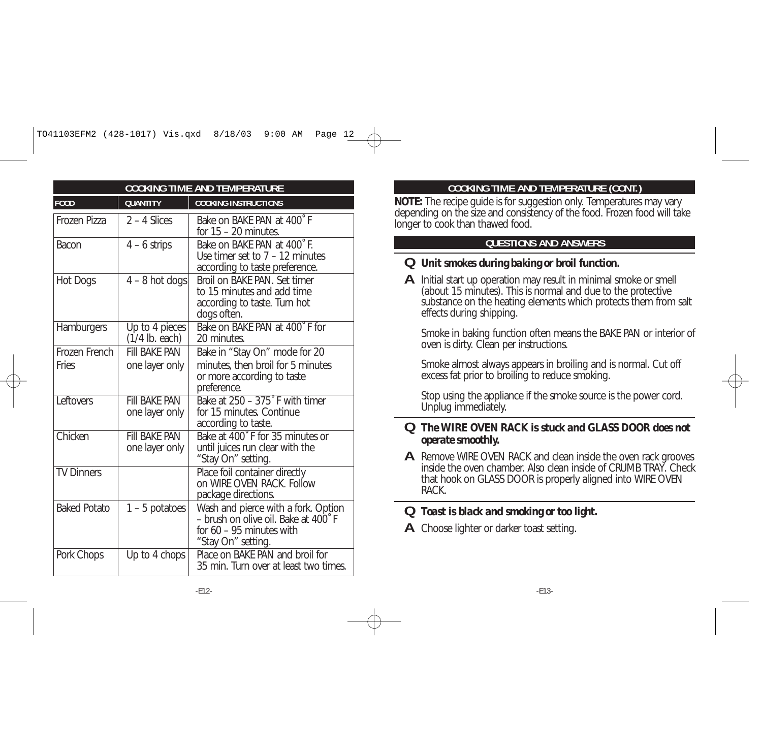| <b>COOKING TIME AND TEMPERATURE</b> |                                                 |                                                                                                                                |
|-------------------------------------|-------------------------------------------------|--------------------------------------------------------------------------------------------------------------------------------|
| <b>FOOD</b>                         | <b>QUANTITY</b>                                 | <b>COOKING INSTRUCTIONS</b>                                                                                                    |
| Frozen Pizza                        | $2 - 4$ Slices                                  | Bake on BAKE PAN at 400°F<br>for $15 - 20$ minutes.                                                                            |
| Bacon                               | $4 - 6$ strips                                  | Bake on BAKE PAN at 400°F.<br>Use timer set to $7 - 12$ minutes<br>according to taste preference.                              |
| Hot Dogs                            | $4 - 8$ hot dogs                                | Broil on BAKE PAN. Set timer<br>to 15 minutes and add time<br>according to taste. Turn hot<br>dogs often.                      |
| Hamburgers                          | $\overline{Up}$ to 4 pieces<br>$(1/4$ lb. each) | Bake on BAKE PAN at 400°F for<br>20 minutes.                                                                                   |
| Frozen French                       | <b>FIII BAKF PAN</b>                            | Bake in "Stay On" mode for 20                                                                                                  |
| Fries                               | one layer only                                  | minutes, then broil for 5 minutes<br>or more according to taste<br>preference.                                                 |
| Leftovers                           | <b>FIII BAKE PAN</b><br>one layer only          | Bake at 250 - 375° F with timer<br>for 15 minutes. Continue<br>according to taste.                                             |
| Chicken                             | <b>FIII BAKF PAN</b><br>one layer only          | Bake at 400° F for 35 minutes or<br>until juices run clear with the<br>"Stay On" setting.                                      |
| <b>TV Dinners</b>                   |                                                 | Place foil container directly<br>on WIRE OVEN RACK. Follow<br>package directions.                                              |
| <b>Baked Potato</b>                 | $1 - 5$ potatoes                                | Wash and pierce with a fork. Option<br>- brush on olive oil. Bake at 400°F<br>for $60 - 95$ minutes with<br>"Stay On" setting. |
| Pork Chops                          | Up to 4 chops                                   | Place on BAKE PAN and broil for<br>35 min. Turn over at least two times.                                                       |

#### **COOKING TIME AND TEMPERATURE (CONT.)**

 **NOTE:** The recipe guide is for suggestion only. Temperatures may vary depending on the size and consistency of the food. Frozen food will take longer to cook than thawed food.

### **QUESTIONS AND ANSWERS**

### **Q** *Unit smokes during baking or broil function.*

**A** Initial start up operation may result in minimal smoke or smell (about 15 minutes). This is normal and due to the protective substance on the heating elements which protects them from salt effects during shipping.

Smoke in baking function often means the BAKE PAN or interior of oven is dirty. Clean per instructions.

Smoke almost always appears in broiling and is normal. Cut off excess fat prior to broiling to reduce smoking.

Stop using the appliance if the smoke source is the power cord. Unplug immediately.

#### **Q** *The WIRE OVEN RACK is stuck and GLASS DOOR does not operate smoothly.*

**A** Remove WIRE OVEN RACK and clean inside the oven rack grooves inside the oven chamber. Also clean inside of CRUMB TRAY. Checkthat hook on GLASS DOOR is properly aligned into WIRE OVEN RACK.

#### **Q***Toast is black and smoking or too light.*

**A**Choose lighter or darker toast setting.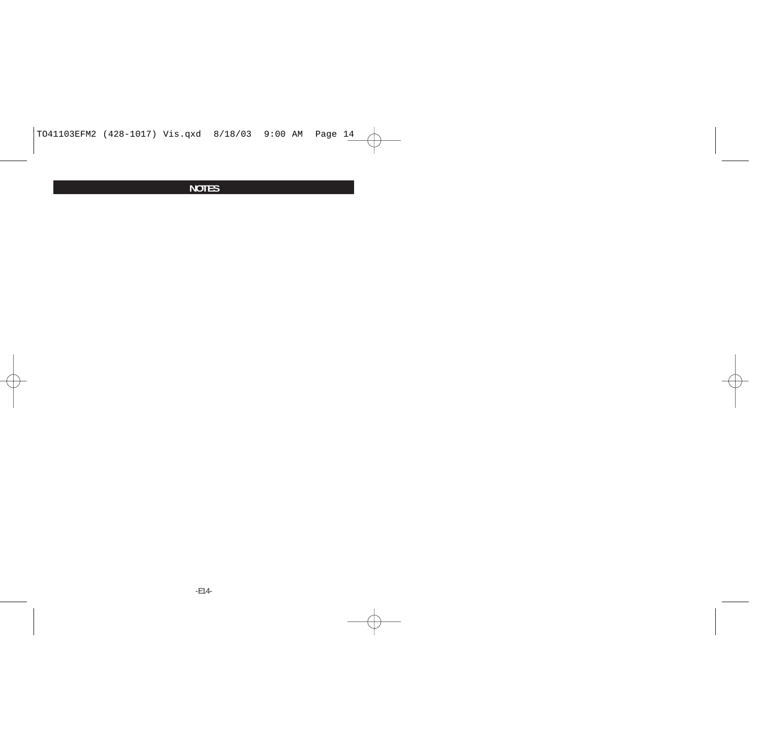#### **NOTES**